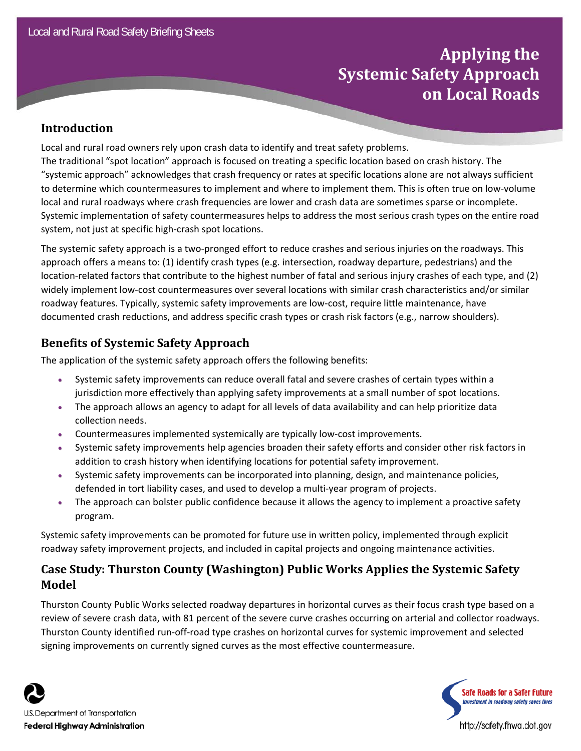# **Applying the Systemic Safety Approach on Local Roads**

#### **Introduction**

Local and rural road owners rely upon crash data to identify and treat safety problems. The traditional "spot location" approach is focused on treating a specific location based on crash history. The "systemic approach" acknowledges that crash frequency or rates at specific locations alone are not always sufficient to determine which countermeasures to implement and where to implement them. This is often true on low‐volume local and rural roadways where crash frequencies are lower and crash data are sometimes sparse or incomplete. Systemic implementation of safety countermeasures helps to address the most serious crash types on the entire road system, not just at specific high‐crash spot locations.

The systemic safety approach is a two‐pronged effort to reduce crashes and serious injuries on the roadways. This approach offers a means to: (1) identify crash types (e.g. intersection, roadway departure, pedestrians) and the location‐related factors that contribute to the highest number of fatal and serious injury crashes of each type, and (2) widely implement low-cost countermeasures over several locations with similar crash characteristics and/or similar roadway features. Typically, systemic safety improvements are low‐cost, require little maintenance, have documented crash reductions, and address specific crash types or crash risk factors (e.g., narrow shoulders).

### **Benefits of Systemic Safety Approach**

The application of the systemic safety approach offers the following benefits:

- Systemic safety improvements can reduce overall fatal and severe crashes of certain types within a jurisdiction more effectively than applying safety improvements at a small number of spot locations.
- The approach allows an agency to adapt for all levels of data availability and can help prioritize data collection needs.
- Countermeasures implemented systemically are typically low‐cost improvements.
- Systemic safety improvements help agencies broaden their safety efforts and consider other risk factors in addition to crash history when identifying locations for potential safety improvement.
- Systemic safety improvements can be incorporated into planning, design, and maintenance policies, defended in tort liability cases, and used to develop a multi‐year program of projects.
- The approach can bolster public confidence because it allows the agency to implement a proactive safety program.

Systemic safety improvements can be promoted for future use in written policy, implemented through explicit roadway safety improvement projects, and included in capital projects and ongoing maintenance activities.

## **Case Study: Thurston County (Washington) Public Works Applies the Systemic Safety Model**

Thurston County Public Works selected roadway departures in horizontal curves as their focus crash type based on a review of severe crash data, with 81 percent of the severe curve crashes occurring on arterial and collector roadways. Thurston County identified run‐off‐road type crashes on horizontal curves for systemic improvement and selected signing improvements on currently signed curves as the most effective countermeasure.